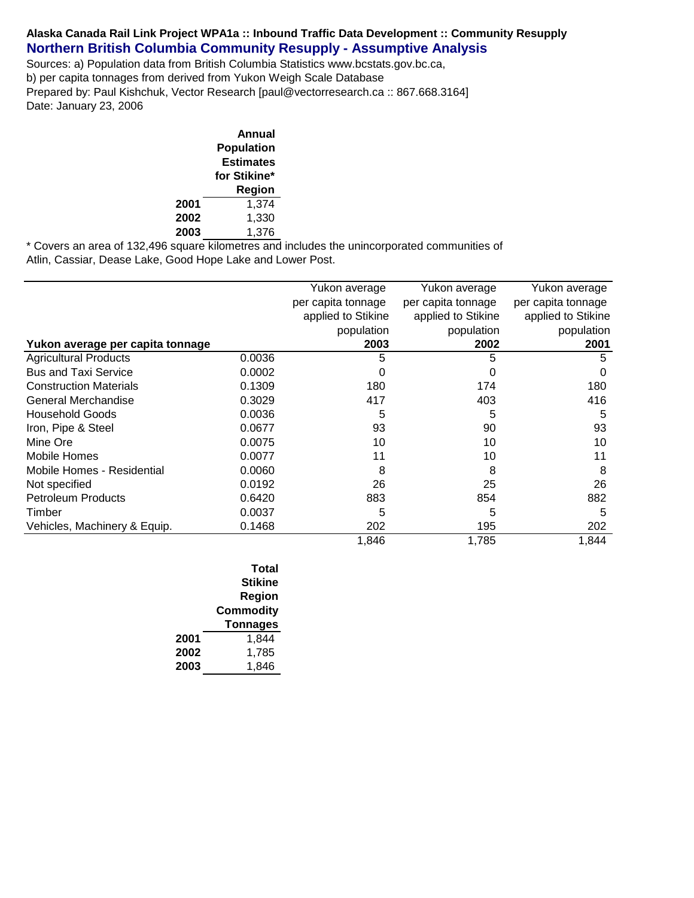## **Alaska Canada Rail Link Project WPA1a :: Inbound Traffic Data Development :: Community Resupply Northern British Columbia Community Resupply - Assumptive Analysis**

Sources: a) Population data from British Columbia Statistics www.bcstats.gov.bc.ca, b) per capita tonnages from derived from Yukon Weigh Scale Database Prepared by: Paul Kishchuk, Vector Research [paul@vectorresearch.ca :: 867.668.3164] Date: January 23, 2006

|      | Annual            |
|------|-------------------|
|      | <b>Population</b> |
|      | <b>Estimates</b>  |
|      | for Stikine*      |
|      | Region            |
| 2001 | 1,374             |
| 2002 | 1,330             |
| 2003 | 1,376             |

\* Covers an area of 132,496 square kilometres and includes the unincorporated communities of Atlin, Cassiar, Dease Lake, Good Hope Lake and Lower Post.

|                                  |        | Yukon average      | Yukon average      | Yukon average      |
|----------------------------------|--------|--------------------|--------------------|--------------------|
|                                  |        | per capita tonnage | per capita tonnage | per capita tonnage |
|                                  |        | applied to Stikine | applied to Stikine | applied to Stikine |
|                                  |        | population         | population         | population         |
| Yukon average per capita tonnage |        | 2003               | 2002               | 2001               |
| <b>Agricultural Products</b>     | 0.0036 | 5                  | 5                  | 5                  |
| <b>Bus and Taxi Service</b>      | 0.0002 |                    |                    | O                  |
| <b>Construction Materials</b>    | 0.1309 | 180                | 174                | 180                |
| General Merchandise              | 0.3029 | 417                | 403                | 416                |
| Household Goods                  | 0.0036 | 5                  | 5                  | 5                  |
| Iron, Pipe & Steel               | 0.0677 | 93                 | 90                 | 93                 |
| Mine Ore                         | 0.0075 | 10                 | 10                 | 10                 |
| Mobile Homes                     | 0.0077 | 11                 | 10                 | 11                 |
| Mobile Homes - Residential       | 0.0060 | 8                  | 8                  | 8                  |
| Not specified                    | 0.0192 | 26                 | 25                 | 26                 |
| <b>Petroleum Products</b>        | 0.6420 | 883                | 854                | 882                |
| Timber                           | 0.0037 | 5                  | 5                  | 5                  |
| Vehicles, Machinery & Equip.     | 0.1468 | 202                | 195                | 202                |
|                                  |        | 1,846              | 1,785              | 1,844              |

|      | Total           |
|------|-----------------|
|      | <b>Stikine</b>  |
|      | Region          |
|      | Commodity       |
|      | <b>Tonnages</b> |
| 2001 | 1,844           |
| 2002 | 1,785           |
| 2003 | 1.846           |